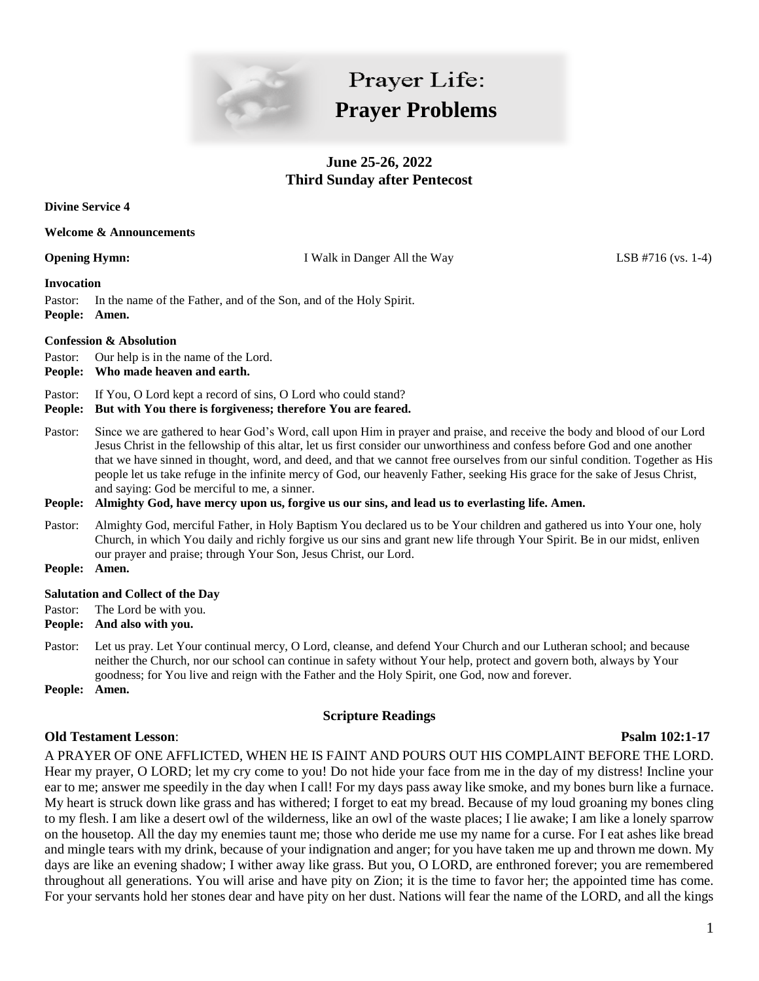

# Prayer Life: **Prayer Problems**

# **June 25-26, 2022 Third Sunday after Pentecost**

**Divine Service 4** 

#### **Welcome & Announcements**

**Opening Hymn:** I Walk in Danger All the Way LSB #716 (vs. 1-4)

**Invocation**

| People: Amen. |                                                                            |
|---------------|----------------------------------------------------------------------------|
|               | Pastor: In the name of the Father, and of the Son, and of the Holy Spirit. |

#### **Confession & Absolution**

Pastor: Our help is in the name of the Lord.

**People: Who made heaven and earth.**

Pastor: If You, O Lord kept a record of sins, O Lord who could stand?

#### **People: But with You there is forgiveness; therefore You are feared.**

Pastor: Since we are gathered to hear God's Word, call upon Him in prayer and praise, and receive the body and blood of our Lord Jesus Christ in the fellowship of this altar, let us first consider our unworthiness and confess before God and one another that we have sinned in thought, word, and deed, and that we cannot free ourselves from our sinful condition. Together as His people let us take refuge in the infinite mercy of God, our heavenly Father, seeking His grace for the sake of Jesus Christ, and saying: God be merciful to me, a sinner.

#### **People: Almighty God, have mercy upon us, forgive us our sins, and lead us to everlasting life. Amen.**

- Pastor: Almighty God, merciful Father, in Holy Baptism You declared us to be Your children and gathered us into Your one, holy Church, in which You daily and richly forgive us our sins and grant new life through Your Spirit. Be in our midst, enliven our prayer and praise; through Your Son, Jesus Christ, our Lord.
- **People: Amen.**

#### **Salutation and Collect of the Day**

Pastor: The Lord be with you.

**People: And also with you.**

Pastor: Let us pray. Let Your continual mercy, O Lord, cleanse, and defend Your Church and our Lutheran school; and because neither the Church, nor our school can continue in safety without Your help, protect and govern both, always by Your goodness; for You live and reign with the Father and the Holy Spirit, one God, now and forever.

**People: Amen.**

### **Scripture Readings**

### **Old Testament Lesson**: **Psalm 102:1-17**

A PRAYER OF ONE AFFLICTED, WHEN HE IS FAINT AND POURS OUT HIS COMPLAINT BEFORE THE LORD. Hear my prayer, O LORD; let my cry come to you! Do not hide your face from me in the day of my distress! Incline your ear to me; answer me speedily in the day when I call! For my days pass away like smoke, and my bones burn like a furnace. My heart is struck down like grass and has withered; I forget to eat my bread. Because of my loud groaning my bones cling to my flesh. I am like a desert owl of the wilderness, like an owl of the waste places; I lie awake; I am like a lonely sparrow on the housetop. All the day my enemies taunt me; those who deride me use my name for a curse. For I eat ashes like bread and mingle tears with my drink, because of your indignation and anger; for you have taken me up and thrown me down. My days are like an evening shadow; I wither away like grass. But you, O LORD, are enthroned forever; you are remembered throughout all generations. You will arise and have pity on Zion; it is the time to favor her; the appointed time has come. For your servants hold her stones dear and have pity on her dust. Nations will fear the name of the LORD, and all the kings